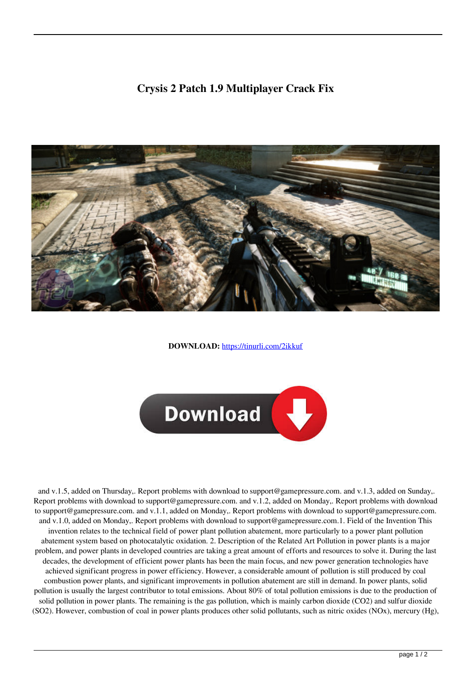## **Crysis 2 Patch 1.9 Multiplayer Crack Fix**



**DOWNLOAD:** <https://tinurli.com/2ikkuf>



 and v.1.5, added on Thursday,. Report problems with download to support@gamepressure.com. and v.1.3, added on Sunday,. Report problems with download to support@gamepressure.com. and v.1.2, added on Monday,. Report problems with download to support@gamepressure.com. and v.1.1, added on Monday,. Report problems with download to support@gamepressure.com. and v.1.0, added on Monday,. Report problems with download to support@gamepressure.com.1. Field of the Invention This invention relates to the technical field of power plant pollution abatement, more particularly to a power plant pollution abatement system based on photocatalytic oxidation. 2. Description of the Related Art Pollution in power plants is a major problem, and power plants in developed countries are taking a great amount of efforts and resources to solve it. During the last decades, the development of efficient power plants has been the main focus, and new power generation technologies have achieved significant progress in power efficiency. However, a considerable amount of pollution is still produced by coal combustion power plants, and significant improvements in pollution abatement are still in demand. In power plants, solid pollution is usually the largest contributor to total emissions. About 80% of total pollution emissions is due to the production of solid pollution in power plants. The remaining is the gas pollution, which is mainly carbon dioxide (CO2) and sulfur dioxide (SO2). However, combustion of coal in power plants produces other solid pollutants, such as nitric oxides (NOx), mercury (Hg),